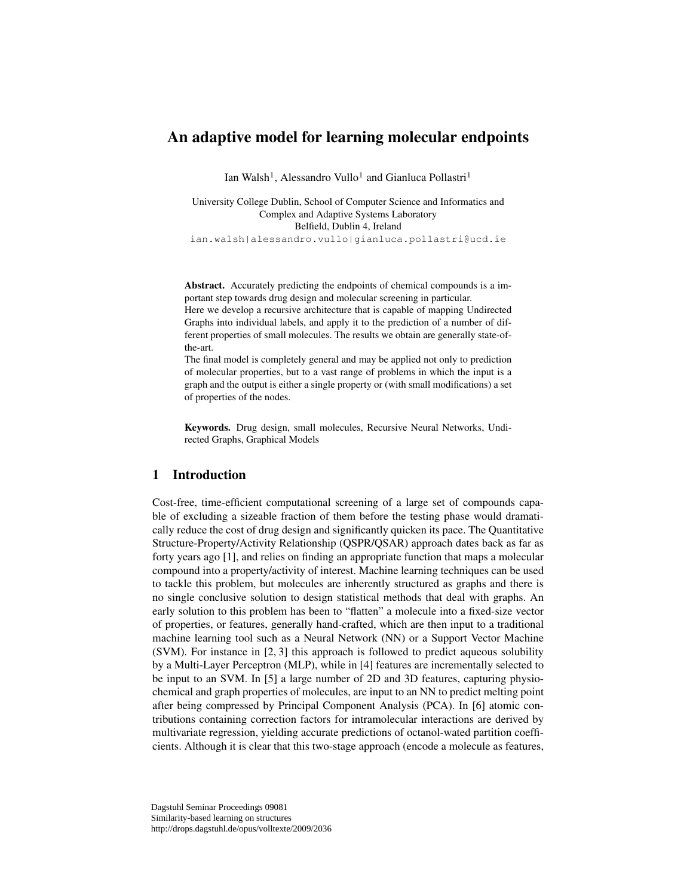# An adaptive model for learning molecular endpoints

Ian Walsh<sup>1</sup>, Alessandro Vullo<sup>1</sup> and Gianluca Pollastri<sup>1</sup>

University College Dublin, School of Computer Science and Informatics and Complex and Adaptive Systems Laboratory Belfield, Dublin 4, Ireland ian.walsh|alessandro.vullo|gianluca.pollastri@ucd.ie

Abstract. Accurately predicting the endpoints of chemical compounds is a important step towards drug design and molecular screening in particular.

Here we develop a recursive architecture that is capable of mapping Undirected Graphs into individual labels, and apply it to the prediction of a number of different properties of small molecules. The results we obtain are generally state-ofthe-art.

The final model is completely general and may be applied not only to prediction of molecular properties, but to a vast range of problems in which the input is a graph and the output is either a single property or (with small modifications) a set of properties of the nodes.

Keywords. Drug design, small molecules, Recursive Neural Networks, Undirected Graphs, Graphical Models

## 1 Introduction

Cost-free, time-efficient computational screening of a large set of compounds capable of excluding a sizeable fraction of them before the testing phase would dramatically reduce the cost of drug design and significantly quicken its pace. The Quantitative Structure-Property/Activity Relationship (QSPR/QSAR) approach dates back as far as forty years ago [1], and relies on finding an appropriate function that maps a molecular compound into a property/activity of interest. Machine learning techniques can be used to tackle this problem, but molecules are inherently structured as graphs and there is no single conclusive solution to design statistical methods that deal with graphs. An early solution to this problem has been to "flatten" a molecule into a fixed-size vector of properties, or features, generally hand-crafted, which are then input to a traditional machine learning tool such as a Neural Network (NN) or a Support Vector Machine (SVM). For instance in [2, 3] this approach is followed to predict aqueous solubility by a Multi-Layer Perceptron (MLP), while in [4] features are incrementally selected to be input to an SVM. In [5] a large number of 2D and 3D features, capturing physiochemical and graph properties of molecules, are input to an NN to predict melting point after being compressed by Principal Component Analysis (PCA). In [6] atomic contributions containing correction factors for intramolecular interactions are derived by multivariate regression, yielding accurate predictions of octanol-wated partition coefficients. Although it is clear that this two-stage approach (encode a molecule as features,

Dagstuhl Seminar Proceedings 09081 Similarity-based learning on structures http://drops.dagstuhl.de/opus/volltexte/2009/2036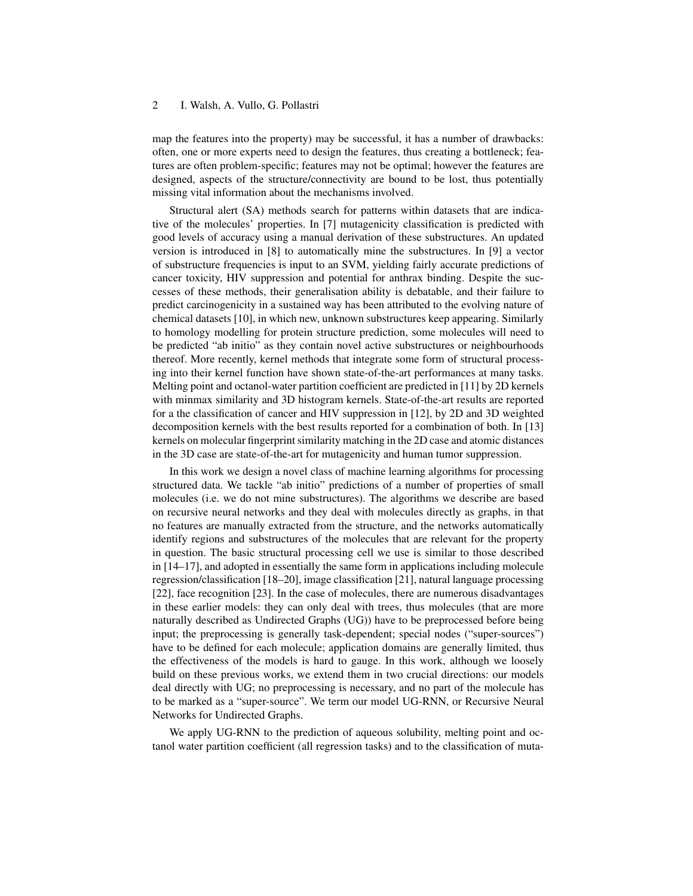map the features into the property) may be successful, it has a number of drawbacks: often, one or more experts need to design the features, thus creating a bottleneck; features are often problem-specific; features may not be optimal; however the features are designed, aspects of the structure/connectivity are bound to be lost, thus potentially missing vital information about the mechanisms involved.

Structural alert (SA) methods search for patterns within datasets that are indicative of the molecules' properties. In [7] mutagenicity classification is predicted with good levels of accuracy using a manual derivation of these substructures. An updated version is introduced in [8] to automatically mine the substructures. In [9] a vector of substructure frequencies is input to an SVM, yielding fairly accurate predictions of cancer toxicity, HIV suppression and potential for anthrax binding. Despite the successes of these methods, their generalisation ability is debatable, and their failure to predict carcinogenicity in a sustained way has been attributed to the evolving nature of chemical datasets [10], in which new, unknown substructures keep appearing. Similarly to homology modelling for protein structure prediction, some molecules will need to be predicted "ab initio" as they contain novel active substructures or neighbourhoods thereof. More recently, kernel methods that integrate some form of structural processing into their kernel function have shown state-of-the-art performances at many tasks. Melting point and octanol-water partition coefficient are predicted in [11] by 2D kernels with minmax similarity and 3D histogram kernels. State-of-the-art results are reported for a the classification of cancer and HIV suppression in [12], by 2D and 3D weighted decomposition kernels with the best results reported for a combination of both. In [13] kernels on molecular fingerprint similarity matching in the 2D case and atomic distances in the 3D case are state-of-the-art for mutagenicity and human tumor suppression.

In this work we design a novel class of machine learning algorithms for processing structured data. We tackle "ab initio" predictions of a number of properties of small molecules (i.e. we do not mine substructures). The algorithms we describe are based on recursive neural networks and they deal with molecules directly as graphs, in that no features are manually extracted from the structure, and the networks automatically identify regions and substructures of the molecules that are relevant for the property in question. The basic structural processing cell we use is similar to those described in [14–17], and adopted in essentially the same form in applications including molecule regression/classification [18–20], image classification [21], natural language processing [22], face recognition [23]. In the case of molecules, there are numerous disadvantages in these earlier models: they can only deal with trees, thus molecules (that are more naturally described as Undirected Graphs (UG)) have to be preprocessed before being input; the preprocessing is generally task-dependent; special nodes ("super-sources") have to be defined for each molecule; application domains are generally limited, thus the effectiveness of the models is hard to gauge. In this work, although we loosely build on these previous works, we extend them in two crucial directions: our models deal directly with UG; no preprocessing is necessary, and no part of the molecule has to be marked as a "super-source". We term our model UG-RNN, or Recursive Neural Networks for Undirected Graphs.

We apply UG-RNN to the prediction of aqueous solubility, melting point and octanol water partition coefficient (all regression tasks) and to the classification of muta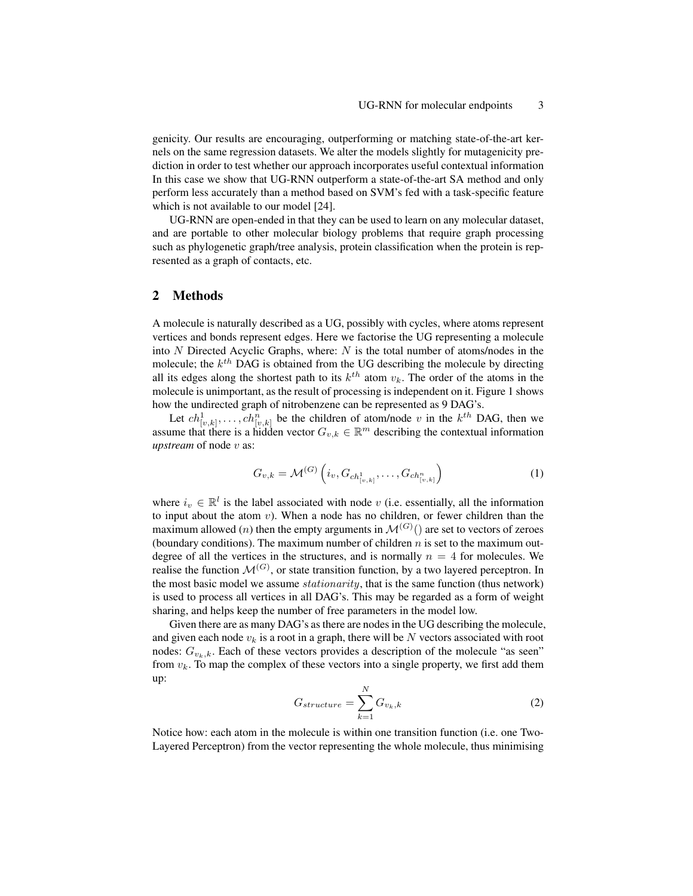genicity. Our results are encouraging, outperforming or matching state-of-the-art kernels on the same regression datasets. We alter the models slightly for mutagenicity prediction in order to test whether our approach incorporates useful contextual information In this case we show that UG-RNN outperform a state-of-the-art SA method and only perform less accurately than a method based on SVM's fed with a task-specific feature which is not available to our model [24].

UG-RNN are open-ended in that they can be used to learn on any molecular dataset, and are portable to other molecular biology problems that require graph processing such as phylogenetic graph/tree analysis, protein classification when the protein is represented as a graph of contacts, etc.

## 2 Methods

A molecule is naturally described as a UG, possibly with cycles, where atoms represent vertices and bonds represent edges. Here we factorise the UG representing a molecule into  $N$  Directed Acyclic Graphs, where:  $N$  is the total number of atoms/nodes in the molecule; the  $k^{th}$  DAG is obtained from the UG describing the molecule by directing all its edges along the shortest path to its  $k^{th}$  atom  $v_k$ . The order of the atoms in the molecule is unimportant, as the result of processing is independent on it. Figure 1 shows how the undirected graph of nitrobenzene can be represented as 9 DAG's.

Let  $ch_{[v,k]}^1, \ldots, ch_{[v,k]}^n$  be the children of atom/node v in the  $k^{th}$  DAG, then we assume that there is a hidden vector  $G_{v,k} \in \mathbb{R}^m$  describing the contextual information *upstream* of node *v* as:

$$
G_{v,k} = \mathcal{M}^{(G)}\left(i_v, G_{ch_{[v,k]}^1}, \dots, G_{ch_{[v,k]}^n}\right) \tag{1}
$$

where  $i_v \in \mathbb{R}^l$  is the label associated with node v (i.e. essentially, all the information to input about the atom  $v$ ). When a node has no children, or fewer children than the maximum allowed (*n*) then the empty arguments in  $\mathcal{M}^{(G)}$  () are set to vectors of zeroes (boundary conditions). The maximum number of children  $n$  is set to the maximum outdegree of all the vertices in the structures, and is normally  $n = 4$  for molecules. We realise the function  $\mathcal{M}^{(G)}$ , or state transition function, by a two layered perceptron. In the most basic model we assume *stationarity*, that is the same function (thus network) is used to process all vertices in all DAG's. This may be regarded as a form of weight sharing, and helps keep the number of free parameters in the model low.

Given there are as many DAG's as there are nodes in the UG describing the molecule, and given each node  $v_k$  is a root in a graph, there will be N vectors associated with root nodes:  $G_{v_k,k}$ . Each of these vectors provides a description of the molecule "as seen" from  $v_k$ . To map the complex of these vectors into a single property, we first add them up:

$$
G_{structure} = \sum_{k=1}^{N} G_{v_k, k} \tag{2}
$$

Notice how: each atom in the molecule is within one transition function (i.e. one Two-Layered Perceptron) from the vector representing the whole molecule, thus minimising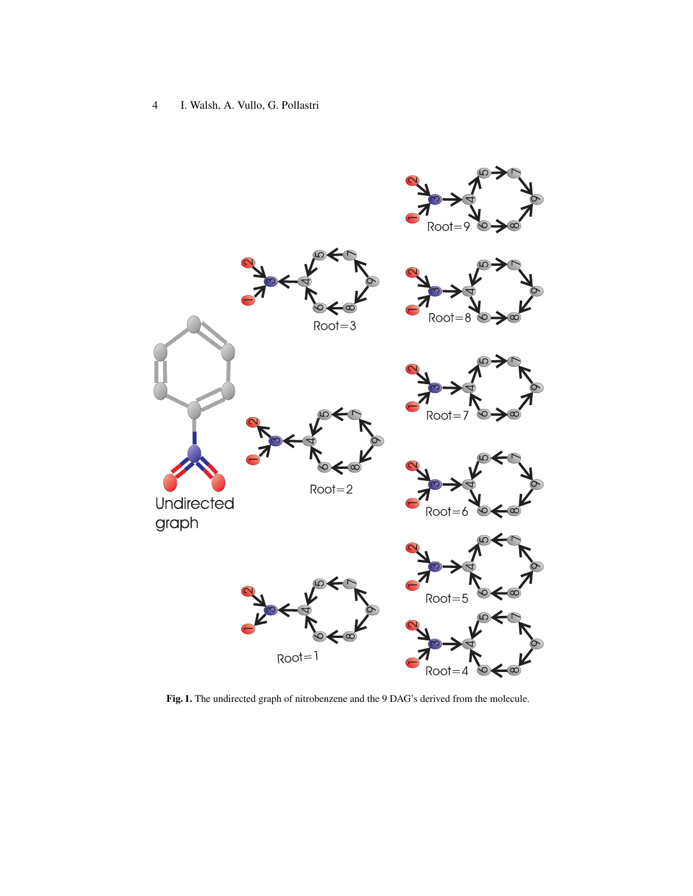

Fig. 1. The undirected graph of nitrobenzene and the 9 DAG's derived from the molecule.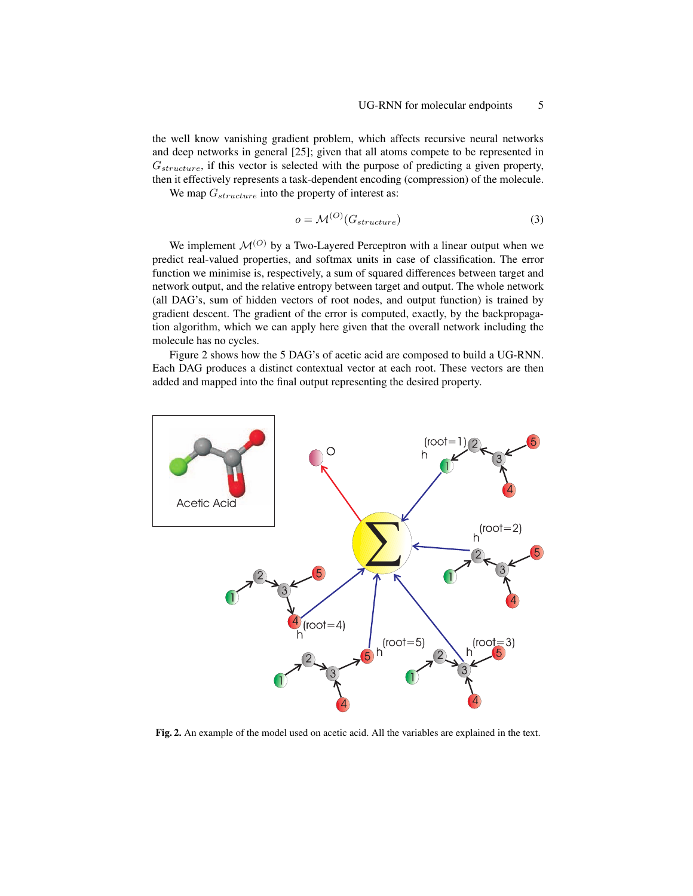the well know vanishing gradient problem, which affects recursive neural networks and deep networks in general [25]; given that all atoms compete to be represented in  $G_{structure}$ , if this vector is selected with the purpose of predicting a given property, then it effectively represents a task-dependent encoding (compression) of the molecule.

We map  $G_{structure}$  into the property of interest as:

$$
o = \mathcal{M}^{(O)}(G_{structure})
$$
\n(3)

We implement  $\mathcal{M}^{(O)}$  by a Two-Layered Perceptron with a linear output when we predict real-valued properties, and softmax units in case of classification. The error function we minimise is, respectively, a sum of squared differences between target and network output, and the relative entropy between target and output. The whole network (all DAG's, sum of hidden vectors of root nodes, and output function) is trained by gradient descent. The gradient of the error is computed, exactly, by the backpropagation algorithm, which we can apply here given that the overall network including the molecule has no cycles.

Figure 2 shows how the 5 DAG's of acetic acid are composed to build a UG-RNN. Each DAG produces a distinct contextual vector at each root. These vectors are then added and mapped into the final output representing the desired property.



Fig. 2. An example of the model used on acetic acid. All the variables are explained in the text.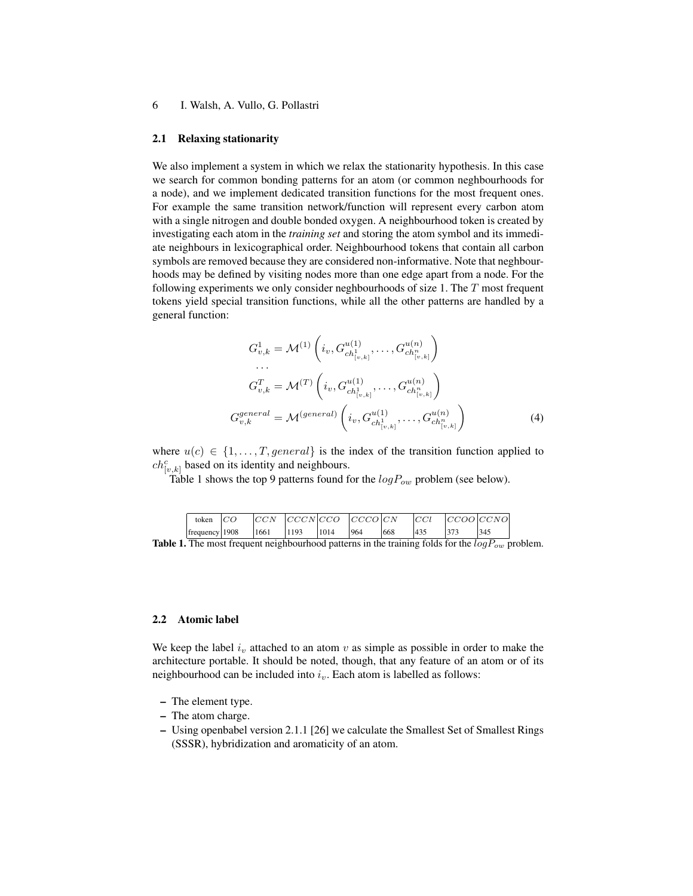#### 2.1 Relaxing stationarity

We also implement a system in which we relax the stationarity hypothesis. In this case we search for common bonding patterns for an atom (or common neghbourhoods for a node), and we implement dedicated transition functions for the most frequent ones. For example the same transition network/function will represent every carbon atom with a single nitrogen and double bonded oxygen. A neighbourhood token is created by investigating each atom in the *training set* and storing the atom symbol and its immediate neighbours in lexicographical order. Neighbourhood tokens that contain all carbon symbols are removed because they are considered non-informative. Note that neghbourhoods may be defined by visiting nodes more than one edge apart from a node. For the following experiments we only consider neghbourhoods of size 1. The T most frequent tokens yield special transition functions, while all the other patterns are handled by a general function:

$$
G_{v,k}^1 = \mathcal{M}^{(1)}\left(i_v, G_{ch_{[v,k]}^1}^{u(1)}, \dots, G_{ch_{[v,k]}^n}^{u(n)}\right)
$$
  
...  

$$
G_{v,k}^T = \mathcal{M}^{(T)}\left(i_v, G_{ch_{[v,k]}^1}^{u(1)}, \dots, G_{ch_{[v,k]}^n}^{u(n)}\right)
$$
  

$$
G_{v,k}^{general} = \mathcal{M}^{(general)}\left(i_v, G_{ch_{[v,k]}^1}^{u(1)}, \dots, G_{ch_{[v,k]}^n}^{u(n)}\right)
$$
  
(4)

where  $u(c) \in \{1, \ldots, T, general\}$  is the index of the transition function applied to  $ch_{[v,k]}^c$  based on its identity and neighbours.

Table 1 shows the top 9 patterns found for the  $logP_{ow}$  problem (see below).

| token          | CO |      |      |      | $ CCCN CCO $ $ CCCO CN$ |     |     | CCOO CCNO |
|----------------|----|------|------|------|-------------------------|-----|-----|-----------|
| frequency 1908 |    | 1661 | 1193 | 1014 | 964                     | 668 | 435 | 345       |

**Table 1.** The most frequent neighbourhood patterns in the training folds for the  $logP_{ow}$  problem.

### 2.2 Atomic label

We keep the label  $i<sub>v</sub>$  attached to an atom v as simple as possible in order to make the architecture portable. It should be noted, though, that any feature of an atom or of its neighbourhood can be included into  $i_v$ . Each atom is labelled as follows:

- The element type.
- The atom charge.
- Using openbabel version 2.1.1 [26] we calculate the Smallest Set of Smallest Rings (SSSR), hybridization and aromaticity of an atom.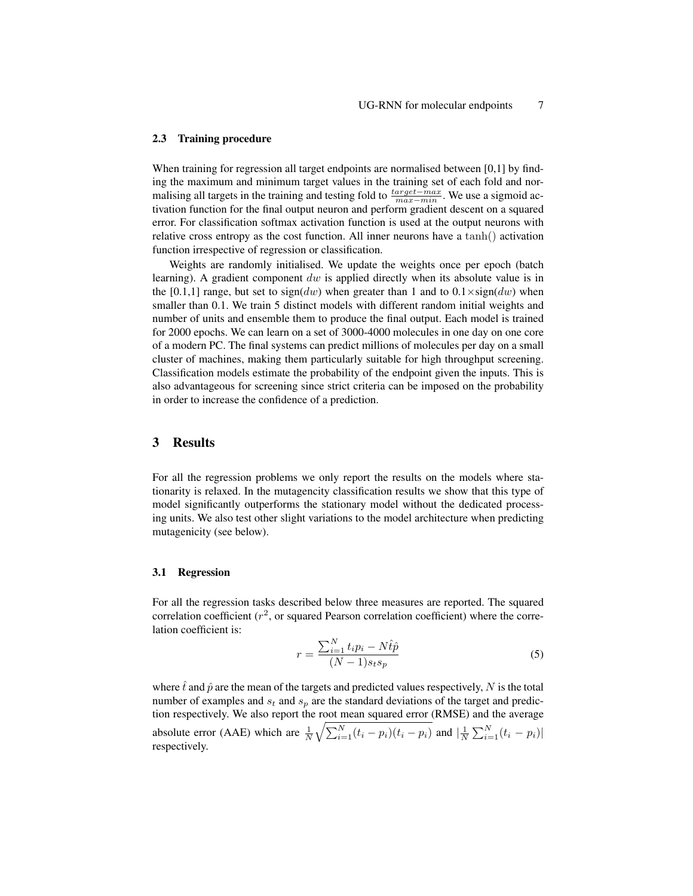#### 2.3 Training procedure

When training for regression all target endpoints are normalised between [0,1] by finding the maximum and minimum target values in the training set of each fold and normalising all targets in the training and testing fold to  $\frac{target - max}{max - min}$ . We use a sigmoid activation function for the final output neuron and perform gradient descent on a squared error. For classification softmax activation function is used at the output neurons with relative cross entropy as the cost function. All inner neurons have a tanh() activation function irrespective of regression or classification.

Weights are randomly initialised. We update the weights once per epoch (batch learning). A gradient component  $dw$  is applied directly when its absolute value is in the [0.1,1] range, but set to sign(dw) when greater than 1 and to  $0.1 \times sign(dw)$  when smaller than 0.1. We train 5 distinct models with different random initial weights and number of units and ensemble them to produce the final output. Each model is trained for 2000 epochs. We can learn on a set of 3000-4000 molecules in one day on one core of a modern PC. The final systems can predict millions of molecules per day on a small cluster of machines, making them particularly suitable for high throughput screening. Classification models estimate the probability of the endpoint given the inputs. This is also advantageous for screening since strict criteria can be imposed on the probability in order to increase the confidence of a prediction.

### 3 Results

For all the regression problems we only report the results on the models where stationarity is relaxed. In the mutagencity classification results we show that this type of model significantly outperforms the stationary model without the dedicated processing units. We also test other slight variations to the model architecture when predicting mutagenicity (see below).

#### 3.1 Regression

For all the regression tasks described below three measures are reported. The squared correlation coefficient  $(r^2)$ , or squared Pearson correlation coefficient) where the correlation coefficient is:

$$
r = \frac{\sum_{i=1}^{N} t_i p_i - N \hat{t} \hat{p}}{(N-1)s_t s_p} \tag{5}
$$

where  $\hat{t}$  and  $\hat{p}$  are the mean of the targets and predicted values respectively, N is the total number of examples and  $s_t$  and  $s_p$  are the standard deviations of the target and prediction respectively. We also report the root mean squared error (RMSE) and the average absolute error (AAE) which are  $\frac{1}{N} \sqrt{\sum_{i=1}^{N} (t_i - p_i)(t_i - p_i)}$  and  $\left| \frac{1}{N} \sum_{i=1}^{N} (t_i - p_i) \right|$ respectively.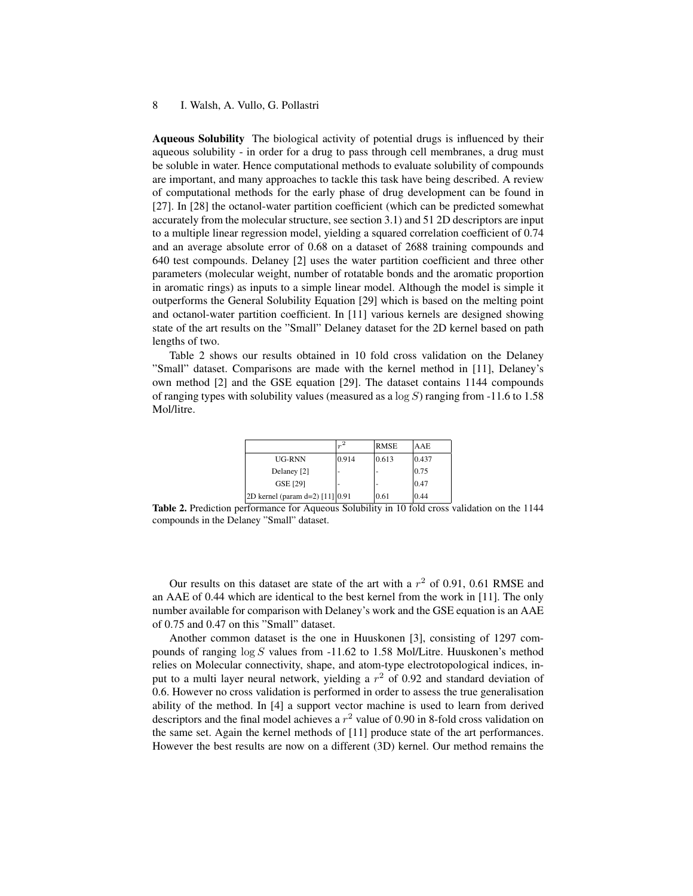Aqueous Solubility The biological activity of potential drugs is influenced by their aqueous solubility - in order for a drug to pass through cell membranes, a drug must be soluble in water. Hence computational methods to evaluate solubility of compounds are important, and many approaches to tackle this task have being described. A review of computational methods for the early phase of drug development can be found in [27]. In [28] the octanol-water partition coefficient (which can be predicted somewhat accurately from the molecular structure, see section 3.1) and 51 2D descriptors are input to a multiple linear regression model, yielding a squared correlation coefficient of 0.74 and an average absolute error of 0.68 on a dataset of 2688 training compounds and 640 test compounds. Delaney [2] uses the water partition coefficient and three other parameters (molecular weight, number of rotatable bonds and the aromatic proportion in aromatic rings) as inputs to a simple linear model. Although the model is simple it outperforms the General Solubility Equation [29] which is based on the melting point and octanol-water partition coefficient. In [11] various kernels are designed showing state of the art results on the "Small" Delaney dataset for the 2D kernel based on path lengths of two.

Table 2 shows our results obtained in 10 fold cross validation on the Delaney "Small" dataset. Comparisons are made with the kernel method in [11], Delaney's own method [2] and the GSE equation [29]. The dataset contains 1144 compounds of ranging types with solubility values (measured as a  $log S$ ) ranging from -11.6 to 1.58 Mol/litre.

|                                   | $r^2$ | <b>RMSE</b> | AAE   |
|-----------------------------------|-------|-------------|-------|
| <b>UG-RNN</b>                     | 0.914 | 0.613       | 0.437 |
| Delaney [2]                       |       |             | 0.75  |
| <b>GSE [29]</b>                   |       |             | 0.47  |
| 2D kernel (param d=2) $[11]$ 0.91 |       | 0.61        | 0.44  |

Table 2. Prediction performance for Aqueous Solubility in 10 fold cross validation on the 1144 compounds in the Delaney "Small" dataset.

Our results on this dataset are state of the art with a  $r^2$  of 0.91, 0.61 RMSE and an AAE of 0.44 which are identical to the best kernel from the work in [11]. The only number available for comparison with Delaney's work and the GSE equation is an AAE of 0.75 and 0.47 on this "Small" dataset.

Another common dataset is the one in Huuskonen [3], consisting of 1297 compounds of ranging  $\log S$  values from -11.62 to 1.58 Mol/Litre. Huuskonen's method relies on Molecular connectivity, shape, and atom-type electrotopological indices, input to a multi layer neural network, yielding a  $r^2$  of 0.92 and standard deviation of 0.6. However no cross validation is performed in order to assess the true generalisation ability of the method. In [4] a support vector machine is used to learn from derived descriptors and the final model achieves a  $r^2$  value of 0.90 in 8-fold cross validation on the same set. Again the kernel methods of [11] produce state of the art performances. However the best results are now on a different (3D) kernel. Our method remains the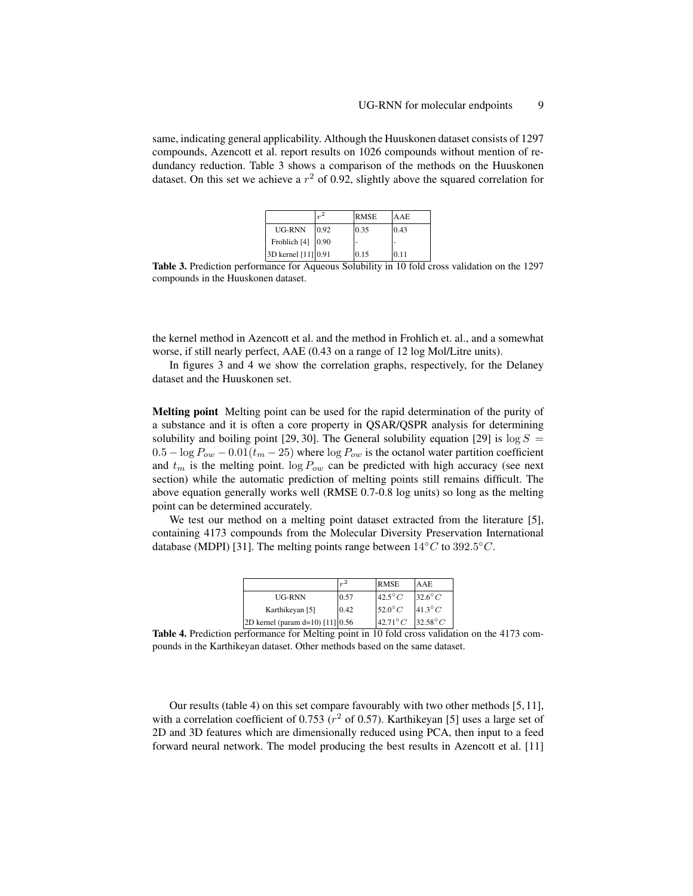same, indicating general applicability. Although the Huuskonen dataset consists of 1297 compounds, Azencott et al. report results on 1026 compounds without mention of redundancy reduction. Table 3 shows a comparison of the methods on the Huuskonen dataset. On this set we achieve a  $r^2$  of 0.92, slightly above the squared correlation for

|                           | $r^2$ | <b>RMSE</b> | <b>AAE</b> |
|---------------------------|-------|-------------|------------|
| UG-RNN                    | 0.92  | 0.35        | 0.43       |
| Frohlich [4] $\vert 0.90$ |       |             |            |
| 3D kernel [11] 0.91       |       | 0.15        | 10.11      |

Table 3. Prediction performance for Aqueous Solubility in 10 fold cross validation on the 1297 compounds in the Huuskonen dataset.

the kernel method in Azencott et al. and the method in Frohlich et. al., and a somewhat worse, if still nearly perfect, AAE (0.43 on a range of 12 log Mol/Litre units).

In figures 3 and 4 we show the correlation graphs, respectively, for the Delaney dataset and the Huuskonen set.

Melting point Melting point can be used for the rapid determination of the purity of a substance and it is often a core property in QSAR/QSPR analysis for determining solubility and boiling point [29, 30]. The General solubility equation [29] is  $\log S =$  $0.5 - \log P_{ow} - 0.01(t_m - 25)$  where  $\log P_{ow}$  is the octanol water partition coefficient and  $t_m$  is the melting point.  $\log P_{ow}$  can be predicted with high accuracy (see next section) while the automatic prediction of melting points still remains difficult. The above equation generally works well (RMSE 0.7-0.8 log units) so long as the melting point can be determined accurately.

We test our method on a melting point dataset extracted from the literature [5], containing 4173 compounds from the Molecular Diversity Preservation International database (MDPI) [31]. The melting points range between  $14^{\circ}C$  to  $392.5^{\circ}C$ .

|                                      |      | <b>RMSE</b>                    | AAE              |
|--------------------------------------|------|--------------------------------|------------------|
| <b>UG-RNN</b>                        | 0.57 | $42.5^{\circ}C$                | $32.6^{\circ}C$  |
| Karthikeyan [5]                      | 0.42 | $152.0^{\circ}$ C              | $41.3^\circ C$   |
| $2D$ kernel (param d=10) [11] $0.56$ |      | $\left.42.71\right.^{\circ}$ C | $32.58^{\circ}C$ |

Table 4. Prediction performance for Melting point in 10 fold cross validation on the 4173 compounds in the Karthikeyan dataset. Other methods based on the same dataset.

Our results (table 4) on this set compare favourably with two other methods [5, 11], with a correlation coefficient of 0.753 ( $r^2$  of 0.57). Karthikeyan [5] uses a large set of 2D and 3D features which are dimensionally reduced using PCA, then input to a feed forward neural network. The model producing the best results in Azencott et al. [11]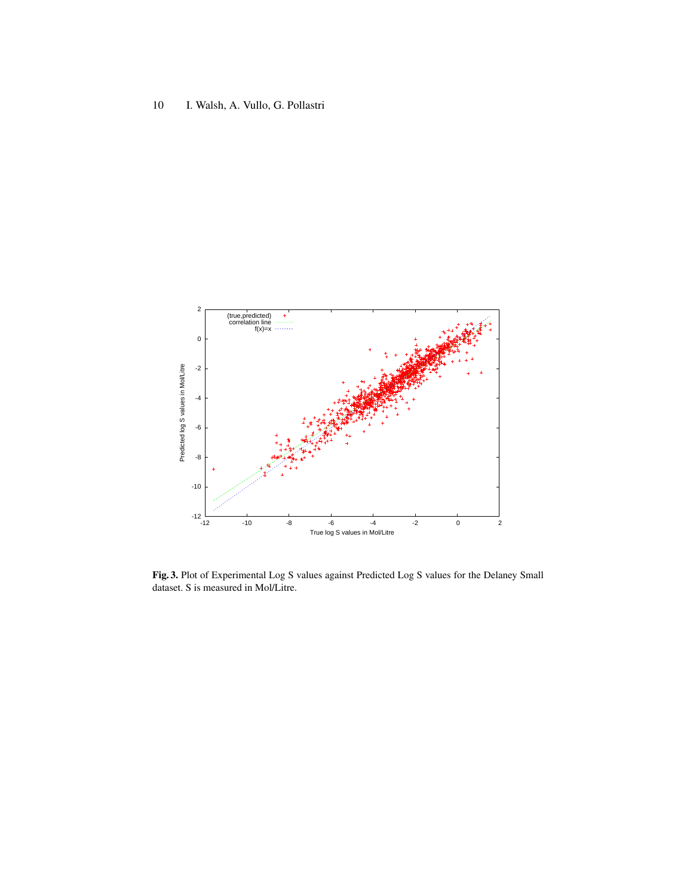

Fig. 3. Plot of Experimental Log S values against Predicted Log S values for the Delaney Small dataset. S is measured in Mol/Litre.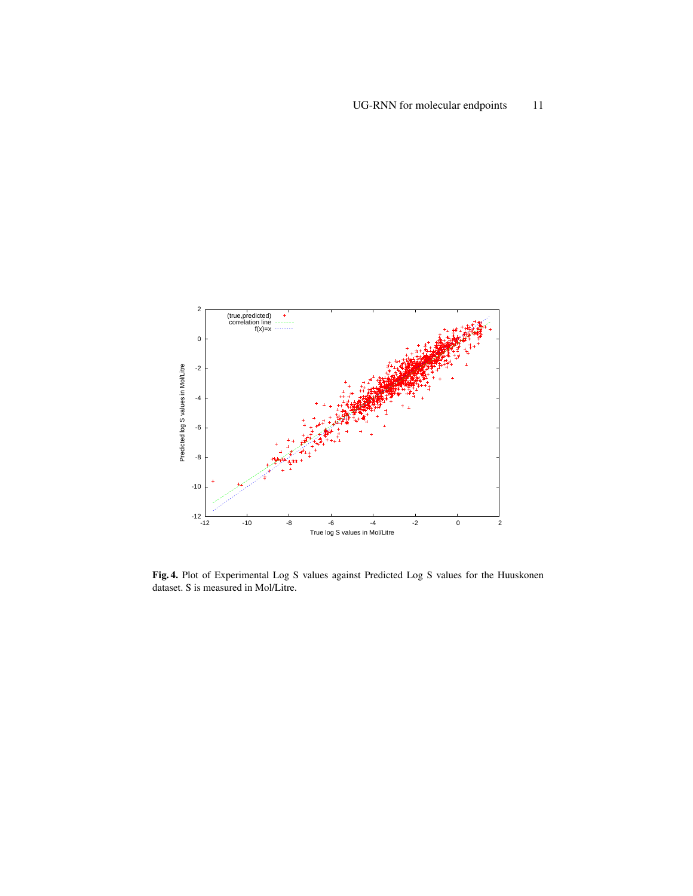

Fig. 4. Plot of Experimental Log S values against Predicted Log S values for the Huuskonen dataset. S is measured in Mol/Litre.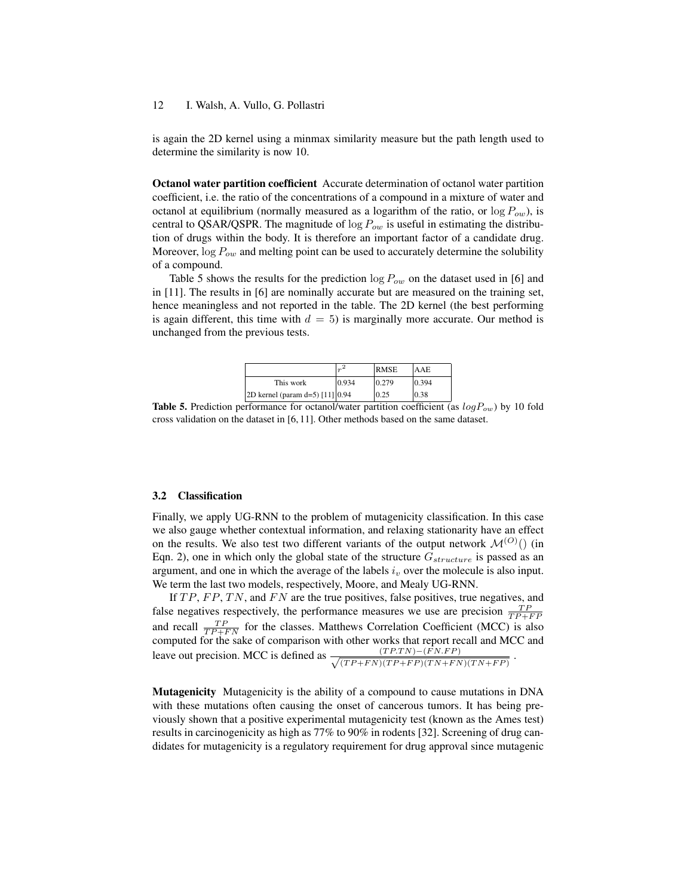is again the 2D kernel using a minmax similarity measure but the path length used to determine the similarity is now 10.

Octanol water partition coefficient Accurate determination of octanol water partition coefficient, i.e. the ratio of the concentrations of a compound in a mixture of water and octanol at equilibrium (normally measured as a logarithm of the ratio, or  $\log P_{ow}$ ), is central to QSAR/QSPR. The magnitude of  $\log P_{ow}$  is useful in estimating the distribution of drugs within the body. It is therefore an important factor of a candidate drug. Moreover,  $\log P_{ow}$  and melting point can be used to accurately determine the solubility of a compound.

Table 5 shows the results for the prediction  $\log P_{ow}$  on the dataset used in [6] and in [11]. The results in [6] are nominally accurate but are measured on the training set, hence meaningless and not reported in the table. The 2D kernel (the best performing is again different, this time with  $d = 5$ ) is marginally more accurate. Our method is unchanged from the previous tests.

|                                 |       | <b>RMSE</b> | AAE   |
|---------------------------------|-------|-------------|-------|
| This work                       | 0.934 | 0.279       | 0.394 |
| 2D kernel (param d=5) [11] 0.94 |       | 0.25        | 0.38  |

**Table 5.** Prediction performance for octanol/water partition coefficient (as  $logP_{ow}$ ) by 10 fold cross validation on the dataset in [6, 11]. Other methods based on the same dataset.

#### 3.2 Classification

Finally, we apply UG-RNN to the problem of mutagenicity classification. In this case we also gauge whether contextual information, and relaxing stationarity have an effect on the results. We also test two different variants of the output network  $\mathcal{M}^{(O)}()$  (in Eqn. 2), one in which only the global state of the structure  $G_{structure}$  is passed as an argument, and one in which the average of the labels  $i<sub>v</sub>$  over the molecule is also input. We term the last two models, respectively, Moore, and Mealy UG-RNN.

If  $TP, FP, TN$ , and  $FN$  are the true positives, false positives, true negatives, and false negatives respectively, the performance measures we use are precision  $\frac{TP}{TP+FP}$ and recall  $\frac{TP}{TP+FN}$  for the classes. Matthews Correlation Coefficient (MCC) is also computed for the sake of comparison with other works that report recall and MCC and leave out precision. MCC is defined as  $\frac{(TP.TN) - (FN.FP)}{(TPD + PN)'(TPD + TN)(TN) + TN'}$  $\frac{(TF,TN)-(FN.FP)}{(TP+FN)(TP+FP)(TN+FN)(TN+FP)}$ .

Mutagenicity Mutagenicity is the ability of a compound to cause mutations in DNA with these mutations often causing the onset of cancerous tumors. It has being previously shown that a positive experimental mutagenicity test (known as the Ames test) results in carcinogenicity as high as 77% to 90% in rodents [32]. Screening of drug candidates for mutagenicity is a regulatory requirement for drug approval since mutagenic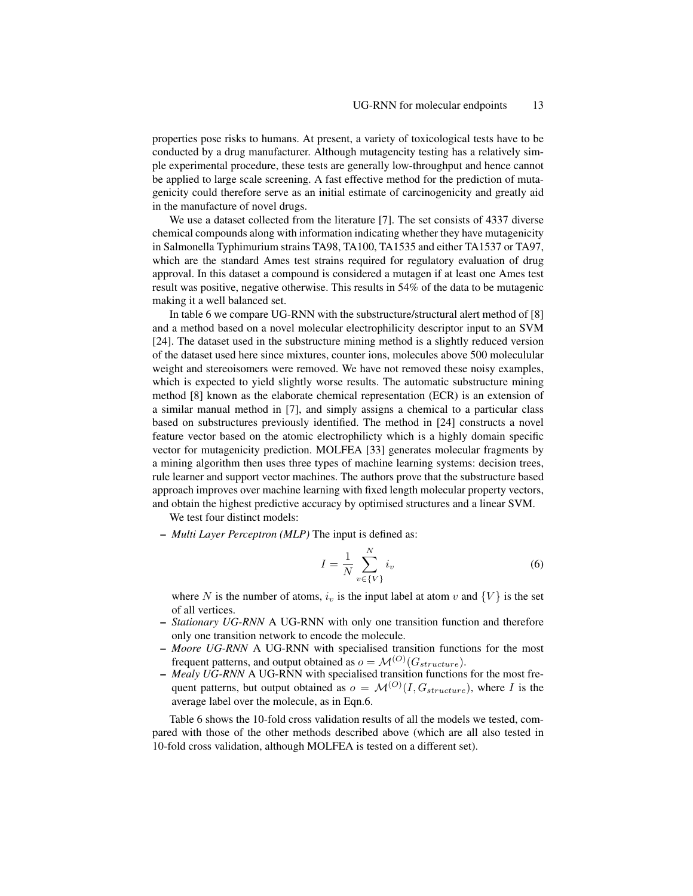properties pose risks to humans. At present, a variety of toxicological tests have to be conducted by a drug manufacturer. Although mutagencity testing has a relatively simple experimental procedure, these tests are generally low-throughput and hence cannot be applied to large scale screening. A fast effective method for the prediction of mutagenicity could therefore serve as an initial estimate of carcinogenicity and greatly aid in the manufacture of novel drugs.

We use a dataset collected from the literature [7]. The set consists of 4337 diverse chemical compounds along with information indicating whether they have mutagenicity in Salmonella Typhimurium strains TA98, TA100, TA1535 and either TA1537 or TA97, which are the standard Ames test strains required for regulatory evaluation of drug approval. In this dataset a compound is considered a mutagen if at least one Ames test result was positive, negative otherwise. This results in 54% of the data to be mutagenic making it a well balanced set.

In table 6 we compare UG-RNN with the substructure/structural alert method of [8] and a method based on a novel molecular electrophilicity descriptor input to an SVM [24]. The dataset used in the substructure mining method is a slightly reduced version of the dataset used here since mixtures, counter ions, molecules above 500 moleculular weight and stereoisomers were removed. We have not removed these noisy examples, which is expected to yield slightly worse results. The automatic substructure mining method [8] known as the elaborate chemical representation (ECR) is an extension of a similar manual method in [7], and simply assigns a chemical to a particular class based on substructures previously identified. The method in [24] constructs a novel feature vector based on the atomic electrophilicty which is a highly domain specific vector for mutagenicity prediction. MOLFEA [33] generates molecular fragments by a mining algorithm then uses three types of machine learning systems: decision trees, rule learner and support vector machines. The authors prove that the substructure based approach improves over machine learning with fixed length molecular property vectors, and obtain the highest predictive accuracy by optimised structures and a linear SVM.

We test four distinct models:

– *Multi Layer Perceptron (MLP)* The input is defined as:

$$
I = \frac{1}{N} \sum_{v \in \{V\}}^{N} i_v \tag{6}
$$

where N is the number of atoms,  $i_v$  is the input label at atom v and  $\{V\}$  is the set of all vertices.

- *Stationary UG-RNN* A UG-RNN with only one transition function and therefore only one transition network to encode the molecule.
- *Moore UG-RNN* A UG-RNN with specialised transition functions for the most frequent patterns, and output obtained as  $o = \mathcal{M}^{(O)}(G_{structure}).$
- *Mealy UG-RNN* A UG-RNN with specialised transition functions for the most frequent patterns, but output obtained as  $o = \mathcal{M}^{(O)}(I, G_{structure})$ , where I is the average label over the molecule, as in Eqn.6.

Table 6 shows the 10-fold cross validation results of all the models we tested, compared with those of the other methods described above (which are all also tested in 10-fold cross validation, although MOLFEA is tested on a different set).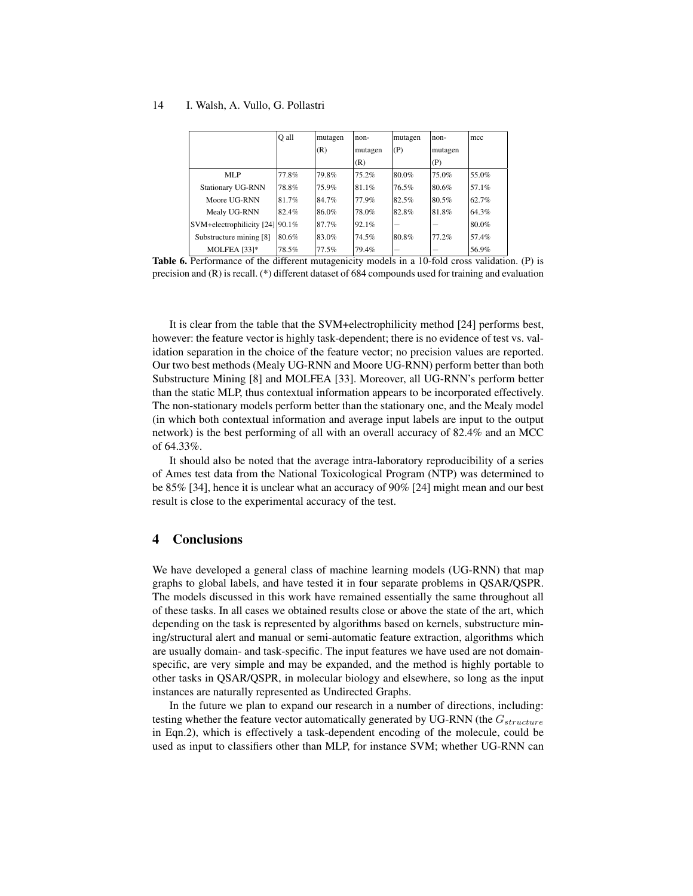|                                 | O all | mutagen | non-    | mutagen | non-    | mcc   |
|---------------------------------|-------|---------|---------|---------|---------|-------|
|                                 |       | (R)     | mutagen | (P)     | mutagen |       |
|                                 |       |         | (R)     |         | (P)     |       |
| <b>MLP</b>                      | 77.8% | 79.8%   | 75.2%   | 80.0%   | 75.0%   | 55.0% |
| <b>Stationary UG-RNN</b>        | 78.8% | 75.9%   | 81.1%   | 76.5%   | 80.6%   | 57.1% |
| Moore UG-RNN                    | 81.7% | 84.7%   | 77.9%   | 82.5%   | 80.5%   | 62.7% |
| Mealy UG-RNN                    | 82.4% | 86.0%   | 78.0%   | 82.8%   | 81.8%   | 64.3% |
| SVM+electrophilicity [24] 90.1% |       | 87.7%   | 92.1%   |         |         | 80.0% |
| Substructure mining [8]         | 80.6% | 83.0%   | 74.5%   | 80.8%   | 77.2%   | 57.4% |
| MOLFEA [33]*                    | 78.5% | 77.5%   | 79.4%   |         |         | 56.9% |

Table 6. Performance of the different mutagenicity models in a 10-fold cross validation. (P) is precision and (R) is recall. (\*) different dataset of 684 compounds used for training and evaluation

It is clear from the table that the SVM+electrophilicity method [24] performs best, however: the feature vector is highly task-dependent; there is no evidence of test vs. validation separation in the choice of the feature vector; no precision values are reported. Our two best methods (Mealy UG-RNN and Moore UG-RNN) perform better than both Substructure Mining [8] and MOLFEA [33]. Moreover, all UG-RNN's perform better than the static MLP, thus contextual information appears to be incorporated effectively. The non-stationary models perform better than the stationary one, and the Mealy model (in which both contextual information and average input labels are input to the output network) is the best performing of all with an overall accuracy of 82.4% and an MCC of 64.33%.

It should also be noted that the average intra-laboratory reproducibility of a series of Ames test data from the National Toxicological Program (NTP) was determined to be 85% [34], hence it is unclear what an accuracy of 90% [24] might mean and our best result is close to the experimental accuracy of the test.

### 4 Conclusions

We have developed a general class of machine learning models (UG-RNN) that map graphs to global labels, and have tested it in four separate problems in QSAR/QSPR. The models discussed in this work have remained essentially the same throughout all of these tasks. In all cases we obtained results close or above the state of the art, which depending on the task is represented by algorithms based on kernels, substructure mining/structural alert and manual or semi-automatic feature extraction, algorithms which are usually domain- and task-specific. The input features we have used are not domainspecific, are very simple and may be expanded, and the method is highly portable to other tasks in QSAR/QSPR, in molecular biology and elsewhere, so long as the input instances are naturally represented as Undirected Graphs.

In the future we plan to expand our research in a number of directions, including: testing whether the feature vector automatically generated by UG-RNN (the  $G_{structure}$ in Eqn.2), which is effectively a task-dependent encoding of the molecule, could be used as input to classifiers other than MLP, for instance SVM; whether UG-RNN can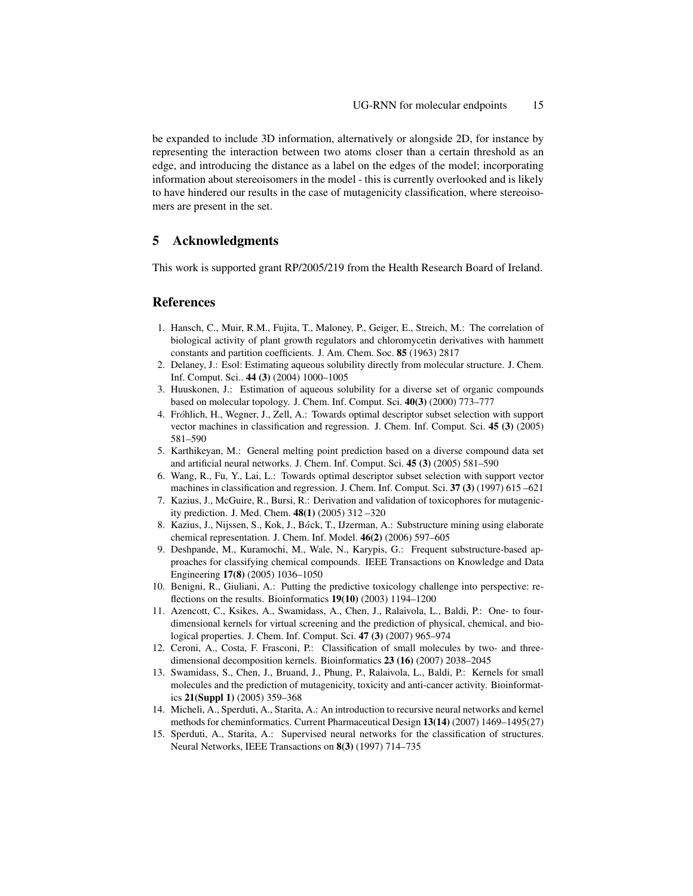be expanded to include 3D information, alternatively or alongside 2D, for instance by representing the interaction between two atoms closer than a certain threshold as an edge, and introducing the distance as a label on the edges of the model; incorporating information about stereoisomers in the model - this is currently overlooked and is likely to have hindered our results in the case of mutagenicity classification, where stereoisomers are present in the set.

# 5 Acknowledgments

This work is supported grant RP/2005/219 from the Health Research Board of Ireland.

### **References**

- 1. Hansch, C., Muir, R.M., Fujita, T., Maloney, P., Geiger, E., Streich, M.: The correlation of biological activity of plant growth regulators and chloromycetin derivatives with hammett constants and partition coefficients. J. Am. Chem. Soc. 85 (1963) 2817
- 2. Delaney, J.: Esol: Estimating aqueous solubility directly from molecular structure. J. Chem. Inf. Comput. Sci.. 44 (3) (2004) 1000–1005
- 3. Huuskonen, J.: Estimation of aqueous solubility for a diverse set of organic compounds based on molecular topology. J. Chem. Inf. Comput. Sci. 40(3) (2000) 773–777
- 4. Fro´hlich, H., Wegner, J., Zell, A.: Towards optimal descriptor subset selection with support vector machines in classification and regression. J. Chem. Inf. Comput. Sci. 45 (3) (2005) 581–590
- 5. Karthikeyan, M.: General melting point prediction based on a diverse compound data set and artificial neural networks. J. Chem. Inf. Comput. Sci. 45 (3) (2005) 581–590
- 6. Wang, R., Fu, Y., Lai, L.: Towards optimal descriptor subset selection with support vector machines in classification and regression. J. Chem. Inf. Comput. Sci. 37 (3) (1997) 615 –621
- 7. Kazius, J., McGuire, R., Bursi, R.: Derivation and validation of toxicophores for mutagenicity prediction. J. Med. Chem. 48(1) (2005) 312 –320
- 8. Kazius, J., Nijssen, S., Kok, J., Ba´ck, T., IJzerman, A.: Substructure mining using elaborate chemical representation. J. Chem. Inf. Model. 46(2) (2006) 597–605
- 9. Deshpande, M., Kuramochi, M., Wale, N., Karypis, G.: Frequent substructure-based approaches for classifying chemical compounds. IEEE Transactions on Knowledge and Data Engineering 17(8) (2005) 1036–1050
- 10. Benigni, R., Giuliani, A.: Putting the predictive toxicology challenge into perspective: reflections on the results. Bioinformatics 19(10) (2003) 1194–1200
- 11. Azencott, C., Ksikes, A., Swamidass, A., Chen, J., Ralaivola, L., Baldi, P.: One- to fourdimensional kernels for virtual screening and the prediction of physical, chemical, and biological properties. J. Chem. Inf. Comput. Sci. 47 (3) (2007) 965–974
- 12. Ceroni, A., Costa, F. Frasconi, P.: Classification of small molecules by two- and threedimensional decomposition kernels. Bioinformatics 23 (16) (2007) 2038–2045
- 13. Swamidass, S., Chen, J., Bruand, J., Phung, P., Ralaivola, L., Baldi, P.: Kernels for small molecules and the prediction of mutagenicity, toxicity and anti-cancer activity. Bioinformatics 21(Suppl 1) (2005) 359–368
- 14. Micheli, A., Sperduti, A., Starita, A.: An introduction to recursive neural networks and kernel methods for cheminformatics. Current Pharmaceutical Design 13(14) (2007) 1469–1495(27)
- 15. Sperduti, A., Starita, A.: Supervised neural networks for the classification of structures. Neural Networks, IEEE Transactions on 8(3) (1997) 714–735